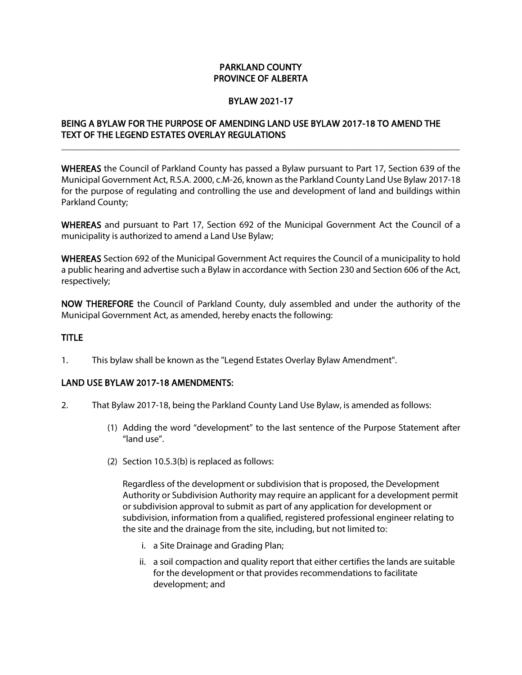## PARKLAND COUNTY PROVINCE OF ALBERTA

### BYLAW 2021-17

# BEING A BYLAW FOR THE PURPOSE OF AMENDING LAND USE BYLAW 2017-18 TO AMEND THE TEXT OF THE LEGEND ESTATES OVERLAY REGULATIONS

WHEREAS the Council of Parkland County has passed a Bylaw pursuant to Part 17, Section 639 of the Municipal Government Act, R.S.A. 2000, c.M-26, known as the Parkland County Land Use Bylaw 2017-18 for the purpose of regulating and controlling the use and development of land and buildings within Parkland County;

\_\_\_\_\_\_\_\_\_\_\_\_\_\_\_\_\_\_\_\_\_\_\_\_\_\_\_\_\_\_\_\_\_\_\_\_\_\_\_\_\_\_\_\_\_\_\_\_\_\_\_\_\_\_\_\_\_\_\_\_\_\_\_\_\_\_\_\_\_\_\_\_\_\_\_\_\_\_\_\_\_\_\_\_\_

WHEREAS and pursuant to Part 17, Section 692 of the Municipal Government Act the Council of a municipality is authorized to amend a Land Use Bylaw;

WHEREAS Section 692 of the Municipal Government Act requires the Council of a municipality to hold a public hearing and advertise such a Bylaw in accordance with Section 230 and Section 606 of the Act, respectively;

NOW THEREFORE the Council of Parkland County, duly assembled and under the authority of the Municipal Government Act, as amended, hereby enacts the following:

### TITLE

1. This bylaw shall be known as the "Legend Estates Overlay Bylaw Amendment".

#### LAND USE BYLAW 2017-18 AMENDMENTS:

- 2. That Bylaw 2017-18, being the Parkland County Land Use Bylaw, is amended as follows:
	- (1) Adding the word "development" to the last sentence of the Purpose Statement after "land use".
	- (2) Section 10.5.3(b) is replaced as follows:

Regardless of the development or subdivision that is proposed, the Development Authority or Subdivision Authority may require an applicant for a development permit or subdivision approval to submit as part of any application for development or subdivision, information from a qualified, registered professional engineer relating to the site and the drainage from the site, including, but not limited to:

- i. a Site Drainage and Grading Plan;
- ii. a soil compaction and quality report that either certifies the lands are suitable for the development or that provides recommendations to facilitate development; and